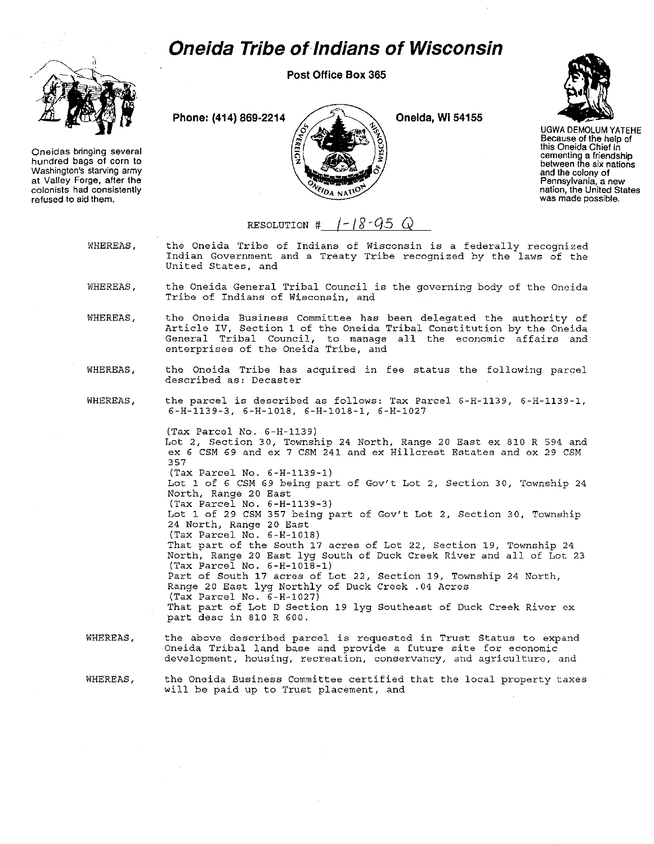## **Oneida Tribe of Indians of Wisconsin**

Post Office Box 365



Oneidas bringing several hundred bags of corn to Washington's starving army at Valley Forge, after the colonists had consistently refused to aid them.

Phone: (414) 869-2214  $\angle$   $\angle$ 





UGWA DEMOLUM YATEHE Because of the help of this Oneida Chief in cementing a friendship between the six nations and the colony of **Pennsylvania, a new nation, the United States** was made possible.

## RESOLUTION #  $1-18-95$  *Q*

WHEREAS, the Oneida Tribe of Indians of Wisconsin is a federally recognized Indian Government and a Treaty Tribe recognized by the laws of the United States, and

- WHEREAS, the Oneida General Tribal Council is the governing body of the Oneida Tribe of Indians of Wisconsin, and
- WHEREAS, the Oneida Business Committee has been delegated the authority of Article IV, Section 1 of the Oneida Tribal Constitution by the Oneida General Tribal Council, to manage all the economic affairs and enterprises of the Oneida Tribe, and
- WHEREAS, the Oneida Tribe has acquired in fee status the following parcel described as: Decaster
- WHEREAS, the parcel is described as follows: Tax Parcel 6-H-1139, 6-H-1139-1, 6-H-1l39-3, 6-H-1018, 6-H-1018-1, 6-H-1027

(Tax Parcel No. 6-H-1139) Lot 2, Section 30, Township 24 North, Range 20 East ex 810 R 594 and ex 6 CSM 69 and ex 7 CSM 241 and ex Hillcrest Estates and ex 29 CSM 357 (Tax Parcel No. 6-H-1139-1) Lot 1 of 6 CSM 69 being part of Gov't Lot 2, Section 30, Township 24 North, Range 20 East (Tax Parcel No. 6-H-1139-3) Lot 1 of 29 CSM 357 being part of Gov't Lot 2, Section 30, Township 24 North, Range 20 East (Tax Parcel No. 6-H-1018) That part of the South 17 acres of Lot 22, Section 19, Township 24 North, Range 20 East lyg South of Duck Creek River and all of Lot 23 (Tax Parcel No. 6-H-1018-1) Part of South 17 acres of Lot 22, Section 19, Township 24 North, Range 20 East lyg Northly of Duck Creek .04 Acres (Tax Parcel No. 6-H-1027) That part of Lot D Section 19 lyg Southeast of Duck Creek River ex part desc in 810 R 600.

WHEREAS. the above described parcel is requested in Trust Status to expand Oneida Tribal land base and provide a future site for economic development, housing, recreation, conservancy, and agriculture, and

WHEREAS, the Oneida Business Committee certified that the local property taxes will be paid up to Trust placement, and